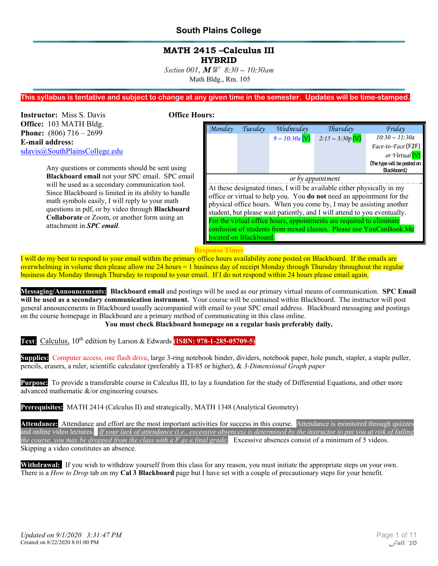#### **MATH 2415 –Calculus III HYBRID**

*Section 001,* **M** *W 8:30 – 10:30am*  Math Bldg., Rm. 105

#### **This syllabus is tentative and subject to change at any given time in the semester. Updates will be time-stamped.**

**Instructor:** Miss S. Davis **Office Hours: Office:** 103 MATH Bldg. **Phone:** (806) 716 – 2699 **E-mail address:**  sdavis@SouthPlainsCollege.edu

> Any questions or comments should be sent using **Blackboard email** not your SPC email. SPC email will be used as a secondary communication tool. Since Blackboard is limited in its ability to handle math symbols easily, I will reply to your math questions in pdf, or by video through **Blackboard Collaborate** or Zoom, or another form using an attachment in *SPC email*.

| Monday                                                                   | Tuesday                                                                      | Wednesday        | Thursday           | Friday                      |
|--------------------------------------------------------------------------|------------------------------------------------------------------------------|------------------|--------------------|-----------------------------|
|                                                                          |                                                                              | $9 - 10:30a$ (V) | $2:15 - 3:30p$ (V) | $10:30 - 11:30a$            |
|                                                                          |                                                                              |                  |                    | Face-to-Face (F2F)          |
|                                                                          |                                                                              |                  |                    | or Virtual                  |
|                                                                          |                                                                              |                  |                    | (The type will be posted on |
|                                                                          |                                                                              |                  |                    | Blackboard)                 |
|                                                                          | or by appointment                                                            |                  |                    |                             |
|                                                                          | At these designated times, I will be available either physically in my       |                  |                    |                             |
|                                                                          | office or virtual to help you. You <b>do not</b> need an appointment for the |                  |                    |                             |
| physical office hours. When you come by, I may be assisting another      |                                                                              |                  |                    |                             |
| student, but please wait patiently, and I will attend to you eventually. |                                                                              |                  |                    |                             |
| For the virtual office hours, appointments are required to eliminate     |                                                                              |                  |                    |                             |
| confusion of students from mixed classes. Please use YouCanBook.Me       |                                                                              |                  |                    |                             |
| ocated on Blackboard.                                                    |                                                                              |                  |                    |                             |
|                                                                          |                                                                              |                  |                    |                             |

#### **Response Times**

I will do my best to respond to your email within the primary office hours availability zone posted on Blackboard. If the emails are overwhelming in volume then please allow me 24 hours = 1 business day of receipt Monday through Thursday throughout the regular business day Monday through Thursday to respond to your email. If I do not respond within 24 hours please email again.

**Messaging/Announcements: Blackboard email** and postings will be used as our primary virtual means of communication. **SPC Email will be used as a secondary communication instrument.** Your course will be contained within Blackboard. The instructor will post general announcements in Blackboard usually accompanied with email to your SPC email address. Blackboard messaging and postings on the course homepage in Blackboard are a primary method of communicating in this class online.

**You must check Blackboard homepage on a regular basis preferably daily.** 

**Text:** Calculus, 10<sup>th</sup> edition by Larson & Edwards **(ISBN: 978-1-285-05709-5)** 

**Supplies:** Computer access, one flash drive, large 3-ring notebook binder, dividers, notebook paper, hole punch, stapler, a staple puller, pencils, erasers, a ruler, scientific calculator (preferably a TI-85 or higher), & *3-Dimensional Graph paper*

**Purpose:** To provide a transferable course in Calculus III, to lay a foundation for the study of Differential Equations, and other more advanced mathematic &/or engineering courses.

**Prerequisites:** MATH 2414 (Calculus II) and strategically, MATH 1348 (Analytical Geometry)

Attendance: Attendance and effort are the most important activities for success in this course. Attendance is monitored through quizzes and online video lectures. *If your lack of attendance (i.e., excessive absences) is determined by the instructor to put you at risk of failing the course, you may be dropped from the class with a F as a final grade.* Excessive absences consist of a minimum of 5 videos. Skipping a video constitutes an absence.

**Withdrawal:** If you wish to withdraw yourself from this class for any reason, you must initiate the appropriate steps on your own. There is a *How to Drop* tab on my **Cal 3 Blackboard** page but I have set with a couple of precautionary steps for your benefit.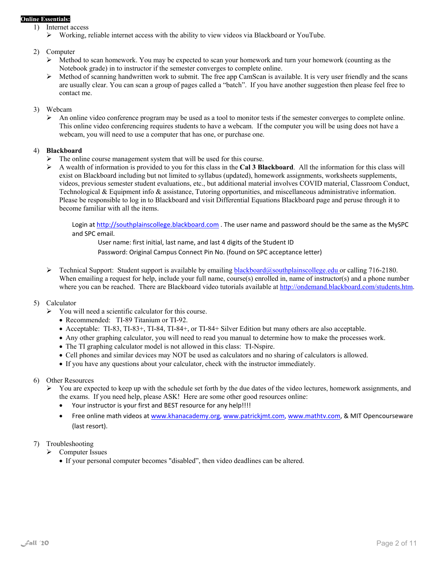#### **Online Essentials:**

- 1) Internet access
	- $\triangleright$  Working, reliable internet access with the ability to view videos via Blackboard or YouTube.

#### 2) Computer

- Method to scan homework. You may be expected to scan your homework and turn your homework (counting as the Notebook grade) in to instructor if the semester converges to complete online.
- $\triangleright$  Method of scanning handwritten work to submit. The free app CamScan is available. It is very user friendly and the scans are usually clear. You can scan a group of pages called a "batch". If you have another suggestion then please feel free to contact me.

#### 3) Webcam

 $\triangleright$  An online video conference program may be used as a tool to monitor tests if the semester converges to complete online. This online video conferencing requires students to have a webcam. If the computer you will be using does not have a webcam, you will need to use a computer that has one, or purchase one.

#### 4) **Blackboard**

- $\triangleright$  The online course management system that will be used for this course.
- A wealth of information is provided to you for this class in the **Cal 3 Blackboard**. All the information for this class will exist on Blackboard including but not limited to syllabus (updated), homework assignments, worksheets supplements, videos, previous semester student evaluations, etc., but additional material involves COVID material, Classroom Conduct, Technological & Equipment info & assistance, Tutoring opportunities, and miscellaneous administrative information. Please be responsible to log in to Blackboard and visit Differential Equations Blackboard page and peruse through it to become familiar with all the items.

Login at http://southplainscollege.blackboard.com . The user name and password should be the same as the MySPC and SPC email.

User name: first initial, last name, and last 4 digits of the Student ID

Password: Original Campus Connect Pin No. (found on SPC acceptance letter)

 $\triangleright$  Technical Support: Student support is available by emailing **blackboard@southplainscollege.edu** or calling 716-2180. When emailing a request for help, include your full name, course(s) enrolled in, name of instructor(s) and a phone number where you can be reached. There are Blackboard video tutorials available at http://ondemand.blackboard.com/students.htm.

#### 5) Calculator

- $\triangleright$  You will need a scientific calculator for this course.
	- Recommended: TI-89 Titanium or TI-92.
	- Acceptable: TI-83, TI-83+, TI-84, TI-84+, or TI-84+ Silver Edition but many others are also acceptable.
	- Any other graphing calculator, you will need to read you manual to determine how to make the processes work.
	- The TI graphing calculator model is not allowed in this class: TI-Nspire.
	- Cell phones and similar devices may NOT be used as calculators and no sharing of calculators is allowed.
	- If you have any questions about your calculator, check with the instructor immediately.
- 6) Other Resources
	- $\triangleright$  You are expected to keep up with the schedule set forth by the due dates of the video lectures, homework assignments, and the exams. If you need help, please ASK! Here are some other good resources online:
		- Your instructor is your first and BEST resource for any help!!!!
		- Free online math videos at www.khanacademy.org, www.patrickjmt.com, www.mathtv.com, & MIT Opencourseware (last resort).
- 7) Troubleshooting
	- $\triangleright$  Computer Issues
		- If your personal computer becomes "disabled", then video deadlines can be altered.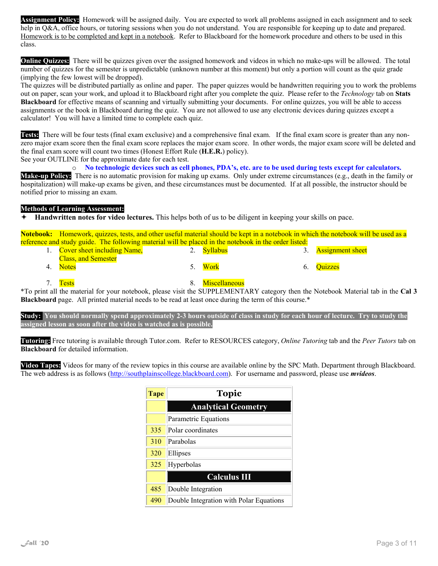**Assignment Policy:** Homework will be assigned daily. You are expected to work all problems assigned in each assignment and to seek help in Q&A, office hours, or tutoring sessions when you do not understand. You are responsible for keeping up to date and prepared. Homework is to be completed and kept in a notebook. Refer to Blackboard for the homework procedure and others to be used in this class.

**Online Quizzes:** There will be quizzes given over the assigned homework and videos in which no make-ups will be allowed. The total number of quizzes for the semester is unpredictable (unknown number at this moment) but only a portion will count as the quiz grade (implying the few lowest will be dropped).

The quizzes will be distributed partially as online and paper. The paper quizzes would be handwritten requiring you to work the problems out on paper, scan your work, and upload it to Blackboard right after you complete the quiz. Please refer to the *Technology* tab on **Stats Blackboard** for effective means of scanning and virtually submitting your documents. For online quizzes, you will be able to access assignments or the book in Blackboard during the quiz. You are not allowed to use any electronic devices during quizzes except a calculator! You will have a limited time to complete each quiz.

**Tests:** There will be four tests (final exam exclusive) and a comprehensive final exam. If the final exam score is greater than any nonzero major exam score then the final exam score replaces the major exam score. In other words, the major exam score will be deleted and the final exam score will count two times (Honest Effort Rule (**H.E.R.**) policy).

See your OUTLINE for the approximate date for each test.

o **No technologic devices such as cell phones, PDA's, etc. are to be used during tests except for calculators.**

**Make-up Policy:** There is no automatic provision for making up exams. Only under extreme circumstances (e.g., death in the family or hospitalization) will make-up exams be given, and these circumstances must be documented. If at all possible, the instructor should be notified prior to missing an exam.

#### **Methods of Learning Assessment:**

**Handwritten notes for video lectures.** This helps both of us to be diligent in keeping your skills on pace.

**Notebook:** Homework, quizzes, tests, and other useful material should be kept in a notebook in which the notebook will be used as a reference and study guide. The following material will be placed in the notebook in the order listed:

| 1. Cover sheet including Name,         | 2. Syllabus | 3. Assignment sheet |
|----------------------------------------|-------------|---------------------|
| <b>Class, and Semester</b><br>4. Notes | 5. Work     | 6. Quizzes          |
|                                        |             |                     |

7. Tests 3. Miscellaneous

\*To print all the material for your notebook, please visit the SUPPLEMENTARY category then the Notebook Material tab in the **Cal 3 Blackboard** page. All printed material needs to be read at least once during the term of this course.\*

**Study: You should normally spend approximately 2-3 hours outside of class in study for each hour of lecture. Try to study the assigned lesson as soon after the video is watched as is possible.**

**Tutoring:** Free tutoring is available through Tutor.com. Refer to RESOURCES category, *Online Tutoring* tab and the *Peer Tutors* tab on **Blackboard** for detailed information.

**Video Tapes:** Videos for many of the review topics in this course are available online by the SPC Math. Department through Blackboard. The web address is as follows (http://southplainscollege.blackboard.com). For username and password, please use *mvideos*.

| <b>Tape</b> | <b>Topic</b>                            |  |  |
|-------------|-----------------------------------------|--|--|
|             | <b>Analytical Geometry</b>              |  |  |
|             | Parametric Equations                    |  |  |
| 335         | Polar coordinates                       |  |  |
| 310         | Parabolas                               |  |  |
| 320         | Ellipses                                |  |  |
| 325         | Hyperbolas                              |  |  |
|             | <b>Calculus III</b>                     |  |  |
| 485         | Double Integration                      |  |  |
| 490         | Double Integration with Polar Equations |  |  |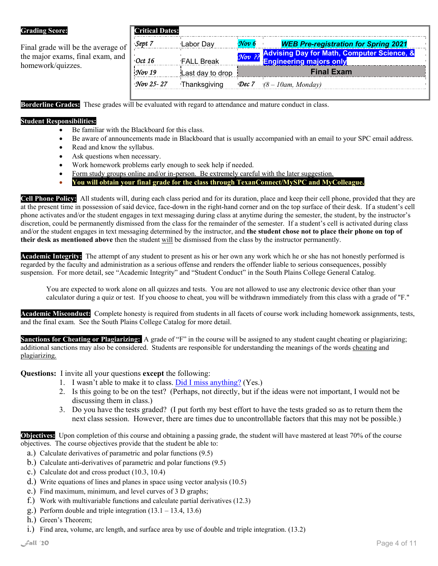#### **Grading Score:**

Final grade will be the average of the major exams, final exam, and homework/quizzes.

### **Critical Dates:**  *Sept 7* Labor Day *Nov 6 WEB Pre-registration for Spring 2021*

| $\cdot$ Oct 16      | <b>FALL Break</b>   | <b><i>Nov ??</i></b> Advising Day for Math, Computer Science, &<br>Engineering majors only |
|---------------------|---------------------|--------------------------------------------------------------------------------------------|
| $\big \! \!$ Nov 19 | Last day to drop    | <b>Final Exam</b>                                                                          |
| $\sqrt{50v}$ 25-27  | <b>Thanksgiving</b> | <b>Dec 7</b> (8 – 10am, Monday)                                                            |

**Borderline Grades:** These grades will be evaluated with regard to attendance and mature conduct in class.

#### **Student Responsibilities:**

- Be familiar with the Blackboard for this class.
- Be aware of announcements made in Blackboard that is usually accompanied with an email to your SPC email address.
- Read and know the syllabus.
- Ask questions when necessary.
- Work homework problems early enough to seek help if needed.
- Form study groups online and/or in-person. Be extremely careful with the later suggestion.
- **You will obtain your final grade for the class through TexanConnect/MySPC and MyColleague..**

**Cell Phone Policy:** All students will, during each class period and for its duration, place and keep their cell phone, provided that they are at the present time in possession of said device, face-down in the right-hand corner and on the top surface of their desk. If a student's cell phone activates and/or the student engages in text messaging during class at anytime during the semester, the student, by the instructor's discretion, could be permanently dismissed from the class for the remainder of the semester. If a student's cell is activated during class and/or the student engages in text messaging determined by the instructor, and **the student chose not to place their phone on top of their desk as mentioned above** then the student will be dismissed from the class by the instructor permanently.

**Academic Integrity:** The attempt of any student to present as his or her own any work which he or she has not honestly performed is regarded by the faculty and administration as a serious offense and renders the offender liable to serious consequences, possibly suspension. For more detail, see "Academic Integrity" and "Student Conduct" in the South Plains College General Catalog.

You are expected to work alone on all quizzes and tests. You are not allowed to use any electronic device other than your calculator during a quiz or test. If you choose to cheat, you will be withdrawn immediately from this class with a grade of "F."

**Academic Misconduct:** Complete honesty is required from students in all facets of course work including homework assignments, tests, and the final exam. See the South Plains College Catalog for more detail.

**Sanctions for Cheating or Plagiarizing:** A grade of "F" in the course will be assigned to any student caught cheating or plagiarizing; additional sanctions may also be considered. Students are responsible for understanding the meanings of the words cheating and plagiarizing.

**Questions:** I invite all your questions **except** the following:

- 1. I wasn't able to make it to class. Did I miss anything? (Yes.)
- 2. Is this going to be on the test? (Perhaps, not directly, but if the ideas were not important, I would not be discussing them in class.)
- 3. Do you have the tests graded? (I put forth my best effort to have the tests graded so as to return them the next class session. However, there are times due to uncontrollable factors that this may not be possible.)

**Objectives:** Upon completion of this course and obtaining a passing grade, the student will have mastered at least 70% of the course objectives. The course objectives provide that the student be able to:

- a.) Calculate derivatives of parametric and polar functions (9.5)
- b.) Calculate anti-derivatives of parametric and polar functions (9.5)
- c.) Calculate dot and cross product (10.3, 10.4)
- d.) Write equations of lines and planes in space using vector analysis (10.5)
- e.) Find maximum, minimum, and level curves of 3 D graphs;
- f.) Work with multivariable functions and calculate partial derivatives (12.3)
- g.) Perform double and triple integration  $(13.1 13.4, 13.6)$
- h.) Green's Theorem;
- i.) Find area, volume, arc length, and surface area by use of double and triple integration. (13.2)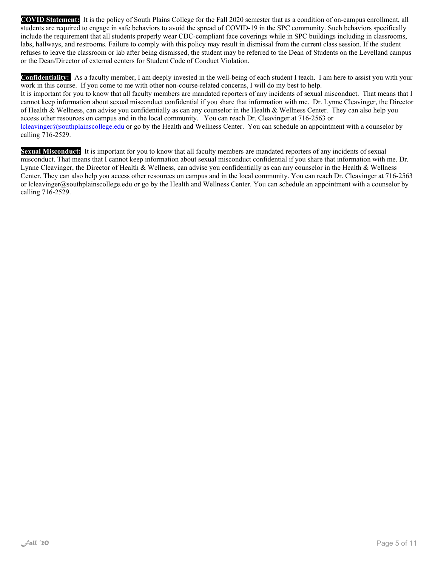**COVID Statement:** It is the policy of South Plains College for the Fall 2020 semester that as a condition of on-campus enrollment, all students are required to engage in safe behaviors to avoid the spread of COVID-19 in the SPC community. Such behaviors specifically include the requirement that all students properly wear CDC-compliant face coverings while in SPC buildings including in classrooms, labs, hallways, and restrooms. Failure to comply with this policy may result in dismissal from the current class session. If the student refuses to leave the classroom or lab after being dismissed, the student may be referred to the Dean of Students on the Levelland campus or the Dean/Director of external centers for Student Code of Conduct Violation.

**Confidentiality:** As a faculty member, I am deeply invested in the well-being of each student I teach. I am here to assist you with your work in this course. If you come to me with other non-course-related concerns, I will do my best to help. It is important for you to know that all faculty members are mandated reporters of any incidents of sexual misconduct. That means that I cannot keep information about sexual misconduct confidential if you share that information with me. Dr. Lynne Cleavinger, the Director of Health & Wellness, can advise you confidentially as can any counselor in the Health & Wellness Center. They can also help you access other resources on campus and in the local community. You can reach Dr. Cleavinger at 716-2563 or lcleavinger@southplainscollege.edu or go by the Health and Wellness Center. You can schedule an appointment with a counselor by calling 716-2529.

**Sexual Misconduct:** It is important for you to know that all faculty members are mandated reporters of any incidents of sexual misconduct. That means that I cannot keep information about sexual misconduct confidential if you share that information with me. Dr. Lynne Cleavinger, the Director of Health & Wellness, can advise you confidentially as can any counselor in the Health & Wellness Center. They can also help you access other resources on campus and in the local community. You can reach Dr. Cleavinger at 716-2563 or lcleavinger@southplainscollege.edu or go by the Health and Wellness Center. You can schedule an appointment with a counselor by calling 716-2529.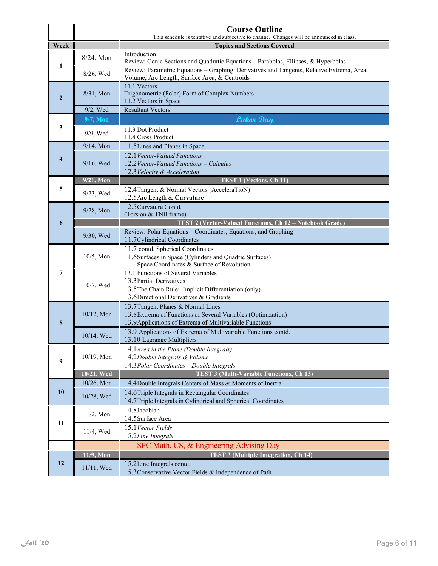|                         |                    | <b>Course Outline</b>                                                                                                                       |  |  |
|-------------------------|--------------------|---------------------------------------------------------------------------------------------------------------------------------------------|--|--|
| Week                    |                    | This schedule is tentative and subjective to change. Changes will be announced in class.<br><b>Topics and Sections Covered</b>              |  |  |
| 1                       | 8/24, Mon          | Introduction                                                                                                                                |  |  |
|                         |                    | Review: Conic Sections and Quadratic Equations - Parabolas, Ellipses, & Hyperbolas                                                          |  |  |
|                         | 8/26, Wed          | Review: Parametric Equations - Graphing, Derivatives and Tangents, Relative Extrema, Area,<br>Volume, Arc Length, Surface Area, & Centroids |  |  |
|                         | $8/31$ , Mon       | 11.1 Vectors<br>Trigonometric (Polar) Form of Complex Numbers                                                                               |  |  |
| $\overline{2}$          |                    | 11.2 Vectors in Space                                                                                                                       |  |  |
|                         | $9/2$ , Wed        | <b>Resultant Vectors</b>                                                                                                                    |  |  |
| 3                       | $9/7$ , Mon        | Labor Day                                                                                                                                   |  |  |
|                         | 9/9, Wed           | 11.3 Dot Product<br>11.4 Cross Product                                                                                                      |  |  |
|                         | 9/14, Mon          | 11.5 Lines and Planes in Space                                                                                                              |  |  |
| $\overline{\mathbf{4}}$ |                    | 12.1 Vector-Valued Functions                                                                                                                |  |  |
|                         | 9/16, Wed          | 12.2 Vector-Valued Functions - Calculus                                                                                                     |  |  |
|                         |                    | 12.3 Velocity & Acceleration                                                                                                                |  |  |
|                         | 9/21, Mon          | <b>TEST 1 (Vectors, Ch 11)</b>                                                                                                              |  |  |
| 5                       | $9/23$ , Wed       | 12.4 Tangent & Normal Vectors (AcceleraTioN)<br>12.5 Arc Length & Curvature                                                                 |  |  |
|                         |                    | 12.5 Curvature Contd.                                                                                                                       |  |  |
|                         | 9/28, Mon          | (Torsion & TNB frame)                                                                                                                       |  |  |
| 6                       |                    | TEST 2 (Vector-Valued Functions, Ch 12 - Notebook Grade)                                                                                    |  |  |
|                         | 9/30, Wed          | Review: Polar Equations - Coordinates, Equations, and Graphing                                                                              |  |  |
|                         |                    | 11.7 Cylindrical Coordinates<br>11.7 contd. Spherical Coordinates                                                                           |  |  |
|                         | $10/5$ , Mon       | 11.6 Surfaces in Space (Cylinders and Quadric Surfaces)                                                                                     |  |  |
|                         |                    | Space Coordinates & Surface of Revolution                                                                                                   |  |  |
| 7                       | 10/7, Wed          | 13.1 Functions of Several Variables                                                                                                         |  |  |
|                         |                    | 13.3 Partial Derivatives<br>13.5 The Chain Rule: Implicit Differentiation (only)                                                            |  |  |
|                         |                    | 13.6 Directional Derivatives & Gradients                                                                                                    |  |  |
|                         | $10/12$ , Mon      | 13.7 Tangent Planes & Normal Lines                                                                                                          |  |  |
|                         |                    | 13.8 Extrema of Functions of Several Variables (Optimization)                                                                               |  |  |
| 8                       |                    | 13.9 Applications of Extrema of Multivariable Functions                                                                                     |  |  |
|                         | 10/14, Wed         | 13.9 Applications of Extrema of Multivariable Functions contd.<br>13.10 Lagrange Multipliers                                                |  |  |
|                         |                    | 14.1 Area in the Plane (Double Integrals)                                                                                                   |  |  |
| 9                       | 10/19, Mon         | 14.2Double Integrals & Volume                                                                                                               |  |  |
|                         |                    | 14.3 Polar Coordinates - Double Integrals                                                                                                   |  |  |
|                         | 10/21, Wed         | <b>TEST 3 (Multi-Variable Functions, Ch 13)</b>                                                                                             |  |  |
| 10                      | 10/26, Mon         | 14.4 Double Integrals Centers of Mass & Moments of Inertia<br>14.6 Triple Integrals in Rectangular Coordinates                              |  |  |
|                         | 10/28, Wed         | 14.7Triple Integrals in Cylindrical and Spherical Coordinates                                                                               |  |  |
|                         |                    | 14.8 Jacobian                                                                                                                               |  |  |
| 11                      | $11/2$ , Mon       | 14.5 Surface Area                                                                                                                           |  |  |
|                         | 11/4, Wed          | 15.1 Vector Fields                                                                                                                          |  |  |
|                         | 15.2Line Integrals |                                                                                                                                             |  |  |
|                         |                    | SPC Math, CS, & Engineering Advising Day                                                                                                    |  |  |
| 12                      | 11/9, Mon          | <b>TEST 3 (Multiple Integration, Ch 14)</b><br>15.2Line Integrals contd.                                                                    |  |  |
|                         | 11/11, Wed         | 15.3 Conservative Vector Fields & Independence of Path                                                                                      |  |  |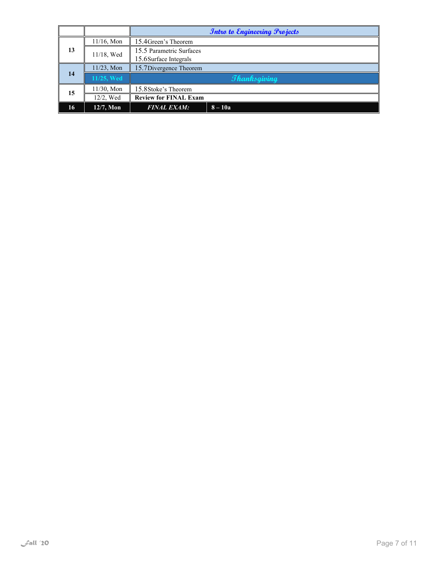|    |               |                                                    | <b>Intro to Engineering Projects</b> |
|----|---------------|----------------------------------------------------|--------------------------------------|
|    | $11/16$ , Mon | 15.4 Green's Theorem                               |                                      |
| 13 | 11/18, Wed    | 15.5 Parametric Surfaces<br>15.6 Surface Integrals |                                      |
| 14 | $11/23$ , Mon | 15.7 Divergence Theorem                            |                                      |
|    | 11/25, Wed    | <b><i><u>Thanksgiving</u></i></b>                  |                                      |
| 15 | 11/30, Mon    | 15.8 Stoke's Theorem                               |                                      |
|    | 12/2, Wed     | <b>Review for FINAL Exam</b>                       |                                      |
| 16 | 12/7, Mon     | <b>FINAL EXAM:</b>                                 | $8-10a$                              |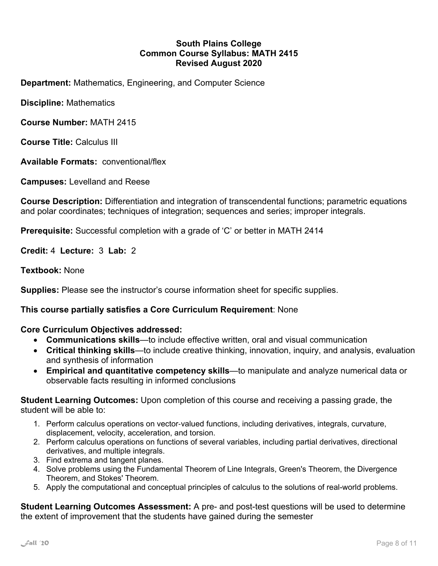#### **South Plains College Common Course Syllabus: MATH 2415 Revised August 2020**

**Department:** Mathematics, Engineering, and Computer Science

**Discipline:** Mathematics

**Course Number:** MATH 2415

**Course Title:** Calculus III

**Available Formats:** conventional/flex

**Campuses:** Levelland and Reese

**Course Description:** Differentiation and integration of transcendental functions; parametric equations and polar coordinates; techniques of integration; sequences and series; improper integrals.

**Prerequisite:** Successful completion with a grade of 'C' or better in MATH 2414

**Credit:** 4 **Lecture:** 3 **Lab:** 2

**Textbook:** None

**Supplies:** Please see the instructor's course information sheet for specific supplies.

#### **This course partially satisfies a Core Curriculum Requirement**: None

**Core Curriculum Objectives addressed:** 

- **Communications skills**—to include effective written, oral and visual communication
- **Critical thinking skills**—to include creative thinking, innovation, inquiry, and analysis, evaluation and synthesis of information
- **Empirical and quantitative competency skills**—to manipulate and analyze numerical data or observable facts resulting in informed conclusions

**Student Learning Outcomes:** Upon completion of this course and receiving a passing grade, the student will be able to:

- 1. Perform calculus operations on vector-valued functions, including derivatives, integrals, curvature, displacement, velocity, acceleration, and torsion.
- 2. Perform calculus operations on functions of several variables, including partial derivatives, directional derivatives, and multiple integrals.
- 3. Find extrema and tangent planes.
- 4. Solve problems using the Fundamental Theorem of Line Integrals, Green's Theorem, the Divergence Theorem, and Stokes' Theorem.
- 5. Apply the computational and conceptual principles of calculus to the solutions of real-world problems.

**Student Learning Outcomes Assessment:** A pre- and post-test questions will be used to determine the extent of improvement that the students have gained during the semester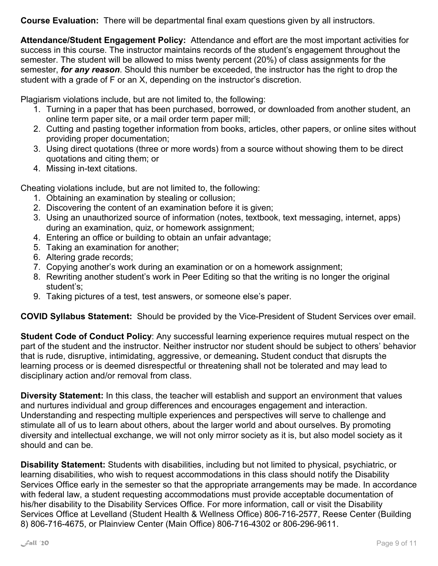**Course Evaluation:** There will be departmental final exam questions given by all instructors.

**Attendance/Student Engagement Policy:** Attendance and effort are the most important activities for success in this course. The instructor maintains records of the student's engagement throughout the semester. The student will be allowed to miss twenty percent (20%) of class assignments for the semester, *for any reason*. Should this number be exceeded, the instructor has the right to drop the student with a grade of F or an X, depending on the instructor's discretion.

Plagiarism violations include, but are not limited to, the following:

- 1. Turning in a paper that has been purchased, borrowed, or downloaded from another student, an online term paper site, or a mail order term paper mill;
- 2. Cutting and pasting together information from books, articles, other papers, or online sites without providing proper documentation;
- 3. Using direct quotations (three or more words) from a source without showing them to be direct quotations and citing them; or
- 4. Missing in-text citations.

Cheating violations include, but are not limited to, the following:

- 1. Obtaining an examination by stealing or collusion;
- 2. Discovering the content of an examination before it is given;
- 3. Using an unauthorized source of information (notes, textbook, text messaging, internet, apps) during an examination, quiz, or homework assignment;
- 4. Entering an office or building to obtain an unfair advantage;
- 5. Taking an examination for another;
- 6. Altering grade records;
- 7. Copying another's work during an examination or on a homework assignment;
- 8. Rewriting another student's work in Peer Editing so that the writing is no longer the original student's;
- 9. Taking pictures of a test, test answers, or someone else's paper.

**COVID Syllabus Statement:** Should be provided by the Vice-President of Student Services over email.

**Student Code of Conduct Policy**: Any successful learning experience requires mutual respect on the part of the student and the instructor. Neither instructor nor student should be subject to others' behavior that is rude, disruptive, intimidating, aggressive, or demeaning**.** Student conduct that disrupts the learning process or is deemed disrespectful or threatening shall not be tolerated and may lead to disciplinary action and/or removal from class.

**Diversity Statement:** In this class, the teacher will establish and support an environment that values and nurtures individual and group differences and encourages engagement and interaction. Understanding and respecting multiple experiences and perspectives will serve to challenge and stimulate all of us to learn about others, about the larger world and about ourselves. By promoting diversity and intellectual exchange, we will not only mirror society as it is, but also model society as it should and can be.

**Disability Statement:** Students with disabilities, including but not limited to physical, psychiatric, or learning disabilities, who wish to request accommodations in this class should notify the Disability Services Office early in the semester so that the appropriate arrangements may be made. In accordance with federal law, a student requesting accommodations must provide acceptable documentation of his/her disability to the Disability Services Office. For more information, call or visit the Disability Services Office at Levelland (Student Health & Wellness Office) 806-716-2577, Reese Center (Building 8) 806-716-4675, or Plainview Center (Main Office) 806-716-4302 or 806-296-9611.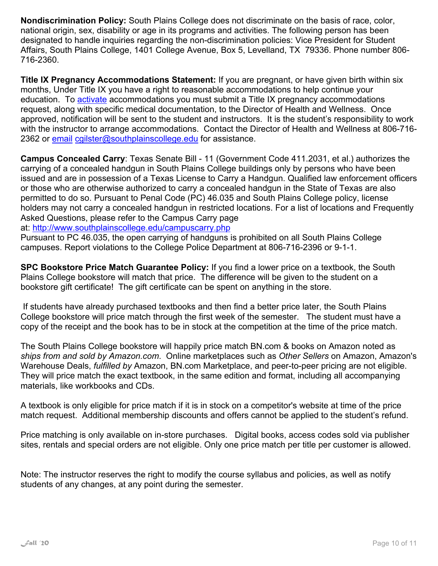**Nondiscrimination Policy:** South Plains College does not discriminate on the basis of race, color, national origin, sex, disability or age in its programs and activities. The following person has been designated to handle inquiries regarding the non-discrimination policies: Vice President for Student Affairs, South Plains College, 1401 College Avenue, Box 5, Levelland, TX 79336. Phone number 806- 716-2360.

**Title IX Pregnancy Accommodations Statement:** If you are pregnant, or have given birth within six months, Under Title IX you have a right to reasonable accommodations to help continue your education. To activate accommodations you must submit a Title IX pregnancy accommodations request, along with specific medical documentation, to the Director of Health and Wellness. Once approved, notification will be sent to the student and instructors. It is the student's responsibility to work with the instructor to arrange accommodations. Contact the Director of Health and Wellness at 806-716- 2362 or email cgilster@southplainscollege.edu for assistance.

**Campus Concealed Carry**: Texas Senate Bill - 11 (Government Code 411.2031, et al.) authorizes the carrying of a concealed handgun in South Plains College buildings only by persons who have been issued and are in possession of a Texas License to Carry a Handgun. Qualified law enforcement officers or those who are otherwise authorized to carry a concealed handgun in the State of Texas are also permitted to do so. Pursuant to Penal Code (PC) 46.035 and South Plains College policy, license holders may not carry a concealed handgun in restricted locations. For a list of locations and Frequently Asked Questions, please refer to the Campus Carry page

at: http://www.southplainscollege.edu/campuscarry.php

Pursuant to PC 46.035, the open carrying of handguns is prohibited on all South Plains College campuses. Report violations to the College Police Department at 806-716-2396 or 9-1-1.

**SPC Bookstore Price Match Guarantee Policy:** If you find a lower price on a textbook, the South Plains College bookstore will match that price. The difference will be given to the student on a bookstore gift certificate! The gift certificate can be spent on anything in the store.

 If students have already purchased textbooks and then find a better price later, the South Plains College bookstore will price match through the first week of the semester. The student must have a copy of the receipt and the book has to be in stock at the competition at the time of the price match.

The South Plains College bookstore will happily price match BN.com & books on Amazon noted as *ships from and sold by Amazon.com*. Online marketplaces such as *Other Sellers* on Amazon, Amazon's Warehouse Deals, *fulfilled by* Amazon, BN.com Marketplace, and peer-to-peer pricing are not eligible. They will price match the exact textbook, in the same edition and format, including all accompanying materials, like workbooks and CDs.

A textbook is only eligible for price match if it is in stock on a competitor's website at time of the price match request. Additional membership discounts and offers cannot be applied to the student's refund.

Price matching is only available on in-store purchases. Digital books, access codes sold via publisher sites, rentals and special orders are not eligible. Only one price match per title per customer is allowed.

Note: The instructor reserves the right to modify the course syllabus and policies, as well as notify students of any changes, at any point during the semester.